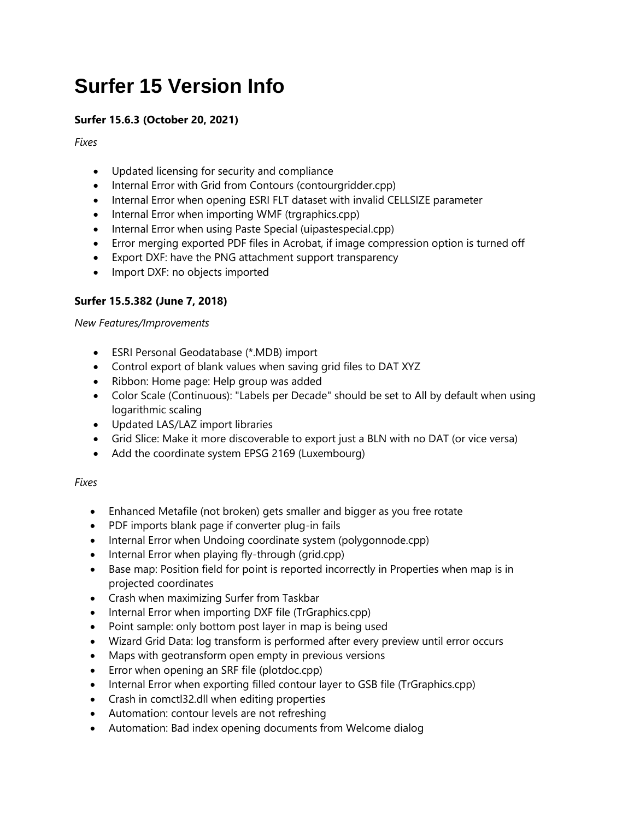# **Surfer 15 Version Info**

# **Surfer 15.6.3 (October 20, 2021)**

*Fixes*

- Updated licensing for security and compliance
- Internal Error with Grid from Contours (contourgridder.cpp)
- Internal Error when opening ESRI FLT dataset with invalid CELLSIZE parameter
- Internal Error when importing WMF (trgraphics.cpp)
- Internal Error when using Paste Special (uipastespecial.cpp)
- Error merging exported PDF files in Acrobat, if image compression option is turned off
- Export DXF: have the PNG attachment support transparency
- Import DXF: no objects imported

# **Surfer 15.5.382 (June 7, 2018)**

#### *New Features/Improvements*

- ESRI Personal Geodatabase (\*.MDB) import
- Control export of blank values when saving grid files to DAT XYZ
- Ribbon: Home page: Help group was added
- Color Scale (Continuous): "Labels per Decade" should be set to All by default when using logarithmic scaling
- Updated LAS/LAZ import libraries
- Grid Slice: Make it more discoverable to export just a BLN with no DAT (or vice versa)
- Add the coordinate system EPSG 2169 (Luxembourg)

# *Fixes*

- Enhanced Metafile (not broken) gets smaller and bigger as you free rotate
- PDF imports blank page if converter plug-in fails
- Internal Error when Undoing coordinate system (polygonnode.cpp)
- $\bullet$  Internal Error when playing fly-through (grid.cpp)
- Base map: Position field for point is reported incorrectly in Properties when map is in projected coordinates
- Crash when maximizing Surfer from Taskbar
- Internal Error when importing DXF file (TrGraphics.cpp)
- Point sample: only bottom post layer in map is being used
- Wizard Grid Data: log transform is performed after every preview until error occurs
- Maps with geotransform open empty in previous versions
- Error when opening an SRF file (plotdoc.cpp)
- Internal Error when exporting filled contour layer to GSB file (TrGraphics.cpp)
- Crash in comctl32.dll when editing properties
- Automation: contour levels are not refreshing
- Automation: Bad index opening documents from Welcome dialog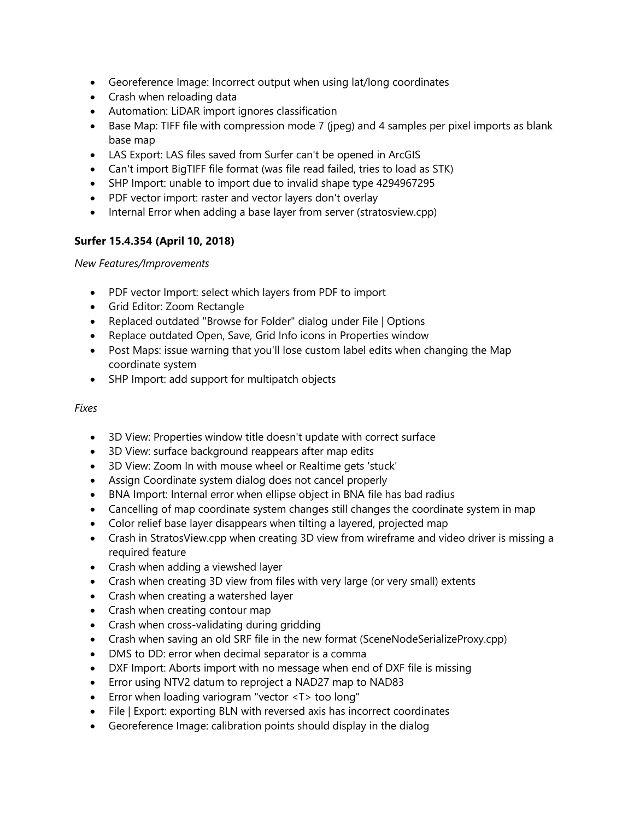- Georeference Image: Incorrect output when using lat/long coordinates
- Crash when reloading data
- Automation: LiDAR import ignores classification
- Base Map: TIFF file with compression mode 7 (jpeg) and 4 samples per pixel imports as blank base map
- LAS Export: LAS files saved from Surfer can't be opened in ArcGIS
- Can't import BigTIFF file format (was file read failed, tries to load as STK)
- SHP Import: unable to import due to invalid shape type 4294967295
- PDF vector import: raster and vector layers don't overlay
- Internal Error when adding a base layer from server (stratosview.cpp)

# **Surfer 15.4.354 (April 10, 2018)**

*New Features/Improvements*

- PDF vector Import: select which layers from PDF to import
- Grid Editor: Zoom Rectangle
- Replaced outdated "Browse for Folder" dialog under File | Options
- Replace outdated Open, Save, Grid Info icons in Properties window
- Post Maps: issue warning that you'll lose custom label edits when changing the Map coordinate system
- SHP Import: add support for multipatch objects

# *Fixes*

- 3D View: Properties window title doesn't update with correct surface
- 3D View: surface background reappears after map edits
- 3D View: Zoom In with mouse wheel or Realtime gets 'stuck'
- Assign Coordinate system dialog does not cancel properly
- BNA Import: Internal error when ellipse object in BNA file has bad radius
- Cancelling of map coordinate system changes still changes the coordinate system in map
- Color relief base layer disappears when tilting a layered, projected map
- Crash in StratosView.cpp when creating 3D view from wireframe and video driver is missing a required feature
- Crash when adding a viewshed layer
- Crash when creating 3D view from files with very large (or very small) extents
- Crash when creating a watershed layer
- Crash when creating contour map
- Crash when cross-validating during gridding
- Crash when saving an old SRF file in the new format (SceneNodeSerializeProxy.cpp)
- DMS to DD: error when decimal separator is a comma
- DXF Import: Aborts import with no message when end of DXF file is missing
- Error using NTV2 datum to reproject a NAD27 map to NAD83
- Error when loading variogram "vector <T> too long"
- File | Export: exporting BLN with reversed axis has incorrect coordinates
- Georeference Image: calibration points should display in the dialog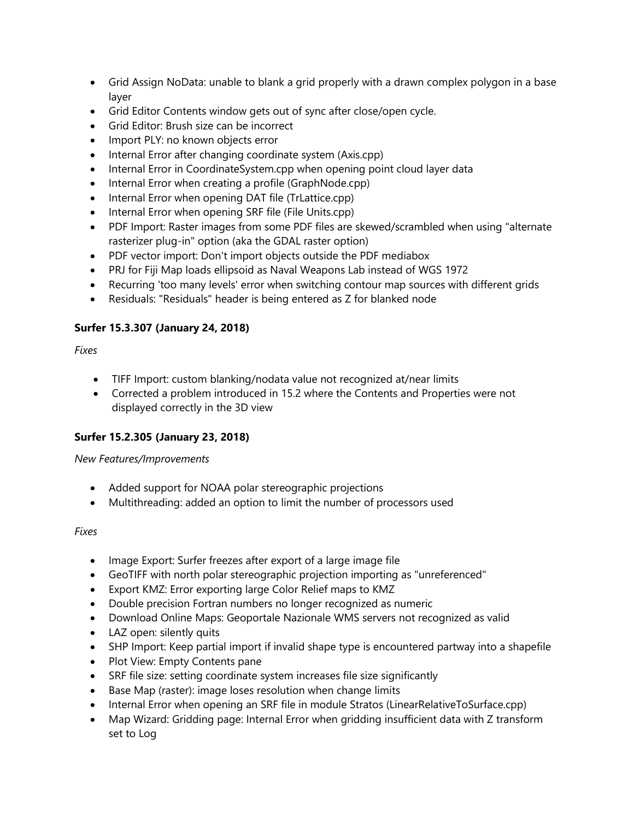- Grid Assign NoData: unable to blank a grid properly with a drawn complex polygon in a base layer
- Grid Editor Contents window gets out of sync after close/open cycle.
- Grid Editor: Brush size can be incorrect
- Import PLY: no known objects error
- Internal Error after changing coordinate system (Axis.cpp)
- Internal Error in CoordinateSystem.cpp when opening point cloud layer data
- Internal Error when creating a profile (GraphNode.cpp)
- Internal Error when opening DAT file (TrLattice.cpp)
- Internal Error when opening SRF file (File Units.cpp)
- PDF Import: Raster images from some PDF files are skewed/scrambled when using "alternate rasterizer plug-in" option (aka the GDAL raster option)
- PDF vector import: Don't import objects outside the PDF mediabox
- PRJ for Fiji Map loads ellipsoid as Naval Weapons Lab instead of WGS 1972
- Recurring 'too many levels' error when switching contour map sources with different grids
- Residuals: "Residuals" header is being entered as Z for blanked node

#### **Surfer 15.3.307 (January 24, 2018)**

#### *Fixes*

- TIFF Import: custom blanking/nodata value not recognized at/near limits
- Corrected a problem introduced in 15.2 where the Contents and Properties were not displayed correctly in the 3D view

#### **Surfer 15.2.305 (January 23, 2018)**

#### *New Features/Improvements*

- Added support for NOAA polar stereographic projections
- Multithreading: added an option to limit the number of processors used

#### *Fixes*

- Image Export: Surfer freezes after export of a large image file
- GeoTIFF with north polar stereographic projection importing as "unreferenced"
- Export KMZ: Error exporting large Color Relief maps to KMZ
- Double precision Fortran numbers no longer recognized as numeric
- Download Online Maps: Geoportale Nazionale WMS servers not recognized as valid
- LAZ open: silently quits
- SHP Import: Keep partial import if invalid shape type is encountered partway into a shapefile
- Plot View: Empty Contents pane
- SRF file size: setting coordinate system increases file size significantly
- Base Map (raster): image loses resolution when change limits
- Internal Error when opening an SRF file in module Stratos (LinearRelativeToSurface.cpp)
- Map Wizard: Gridding page: Internal Error when gridding insufficient data with Z transform set to Log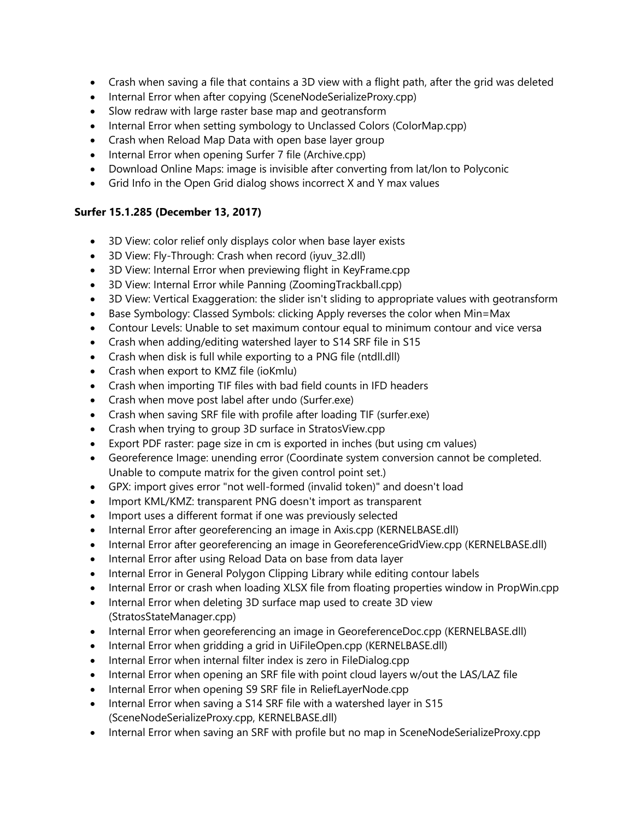- Crash when saving a file that contains a 3D view with a flight path, after the grid was deleted
- Internal Error when after copying (SceneNodeSerializeProxy.cpp)
- Slow redraw with large raster base map and geotransform
- Internal Error when setting symbology to Unclassed Colors (ColorMap.cpp)
- Crash when Reload Map Data with open base layer group
- Internal Error when opening Surfer 7 file (Archive.cpp)
- Download Online Maps: image is invisible after converting from lat/lon to Polyconic
- Grid Info in the Open Grid dialog shows incorrect X and Y max values

#### **Surfer 15.1.285 (December 13, 2017)**

- 3D View: color relief only displays color when base layer exists
- 3D View: Fly-Through: Crash when record (iyuv\_32.dll)
- 3D View: Internal Error when previewing flight in KeyFrame.cpp
- 3D View: Internal Error while Panning (ZoomingTrackball.cpp)
- 3D View: Vertical Exaggeration: the slider isn't sliding to appropriate values with geotransform
- Base Symbology: Classed Symbols: clicking Apply reverses the color when Min=Max
- Contour Levels: Unable to set maximum contour equal to minimum contour and vice versa
- Crash when adding/editing watershed layer to S14 SRF file in S15
- Crash when disk is full while exporting to a PNG file (ntdll.dll)
- Crash when export to KMZ file (ioKmlu)
- Crash when importing TIF files with bad field counts in IFD headers
- Crash when move post label after undo (Surfer.exe)
- Crash when saving SRF file with profile after loading TIF (surfer.exe)
- Crash when trying to group 3D surface in StratosView.cpp
- Export PDF raster: page size in cm is exported in inches (but using cm values)
- Georeference Image: unending error (Coordinate system conversion cannot be completed. Unable to compute matrix for the given control point set.)
- GPX: import gives error "not well-formed (invalid token)" and doesn't load
- Import KML/KMZ: transparent PNG doesn't import as transparent
- Import uses a different format if one was previously selected
- Internal Error after georeferencing an image in Axis.cpp (KERNELBASE.dll)
- Internal Error after georeferencing an image in GeoreferenceGridView.cpp (KERNELBASE.dll)
- Internal Error after using Reload Data on base from data layer
- Internal Error in General Polygon Clipping Library while editing contour labels
- Internal Error or crash when loading XLSX file from floating properties window in PropWin.cpp
- Internal Error when deleting 3D surface map used to create 3D view (StratosStateManager.cpp)
- Internal Error when georeferencing an image in GeoreferenceDoc.cpp (KERNELBASE.dll)
- Internal Error when gridding a grid in UiFileOpen.cpp (KERNELBASE.dll)
- Internal Error when internal filter index is zero in FileDialog.cpp
- Internal Error when opening an SRF file with point cloud layers w/out the LAS/LAZ file
- Internal Error when opening S9 SRF file in ReliefLayerNode.cpp
- Internal Error when saving a S14 SRF file with a watershed layer in S15 (SceneNodeSerializeProxy.cpp, KERNELBASE.dll)
- Internal Error when saving an SRF with profile but no map in SceneNodeSerializeProxy.cpp